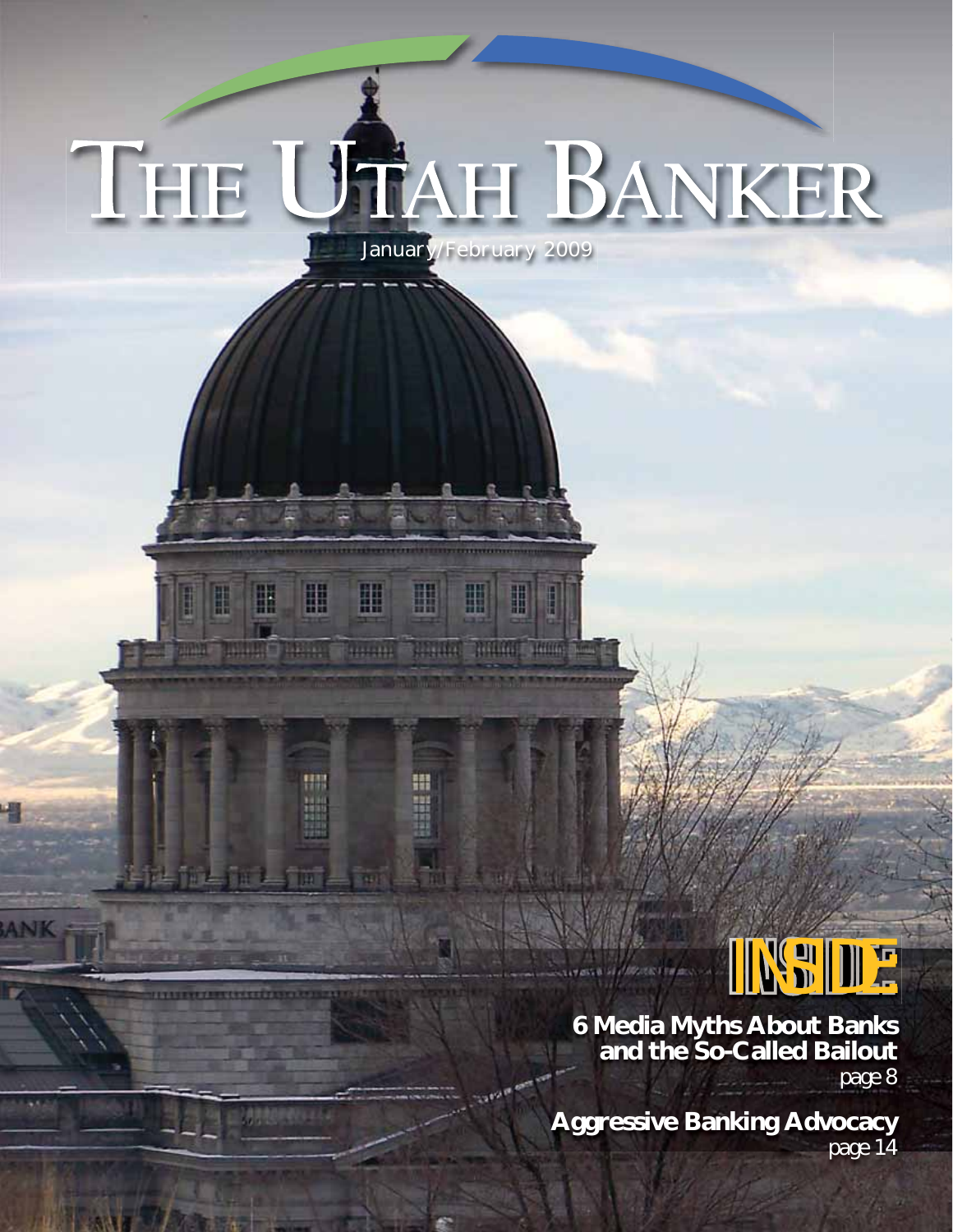# THE UTAH BANKER January/February 2009

醞

11111111

H

**ANK** 

H

鼺

HR

The full of price in

明明

H

**HEER** 

H

H

**WEIGHT RELEASE THEIR TWO** 

H



**6 Media Myths About Banks and the So-Called Bailout** *page 8*

**Aggressive Banking Advocacy** *page 14*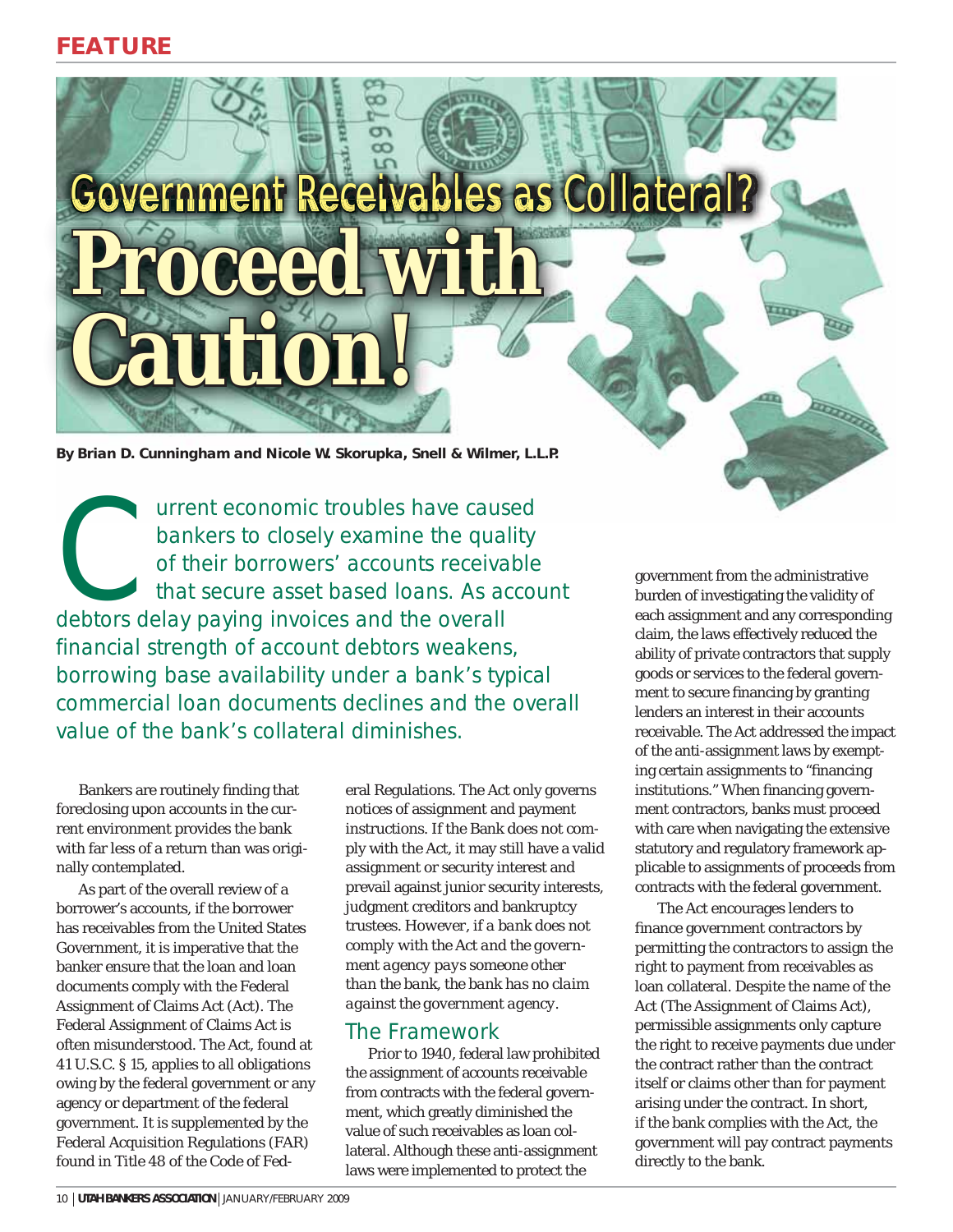**Government Receivables as Collateral? Proceed with roceed Caution! aution!**

**By Brian D. Cunningham and Nicole W. Skorupka, Snell & Wilmer, L.L.P.**

Universe to closely examine the quality of their borrowers' accounts receivable that secure asset based loans. As accounted the overall bankers to closely examine the quality of their borrowers' accounts receivable that secure asset based loans. As account financial strength of account debtors weakens, borrowing base availability under a bank's typical commercial loan documents declines and the overall value of the bank's collateral diminishes.

Bankers are routinely finding that foreclosing upon accounts in the current environment provides the bank with far less of a return than was originally contemplated.

As part of the overall review of a borrower's accounts, if the borrower has receivables from the United States Government, it is imperative that the banker ensure that the loan and loan documents comply with the Federal Assignment of Claims Act (Act). The Federal Assignment of Claims Act is often misunderstood. The Act, found at 41 U.S.C. § 15, applies to all obligations owing by the federal government or any agency or department of the federal government. It is supplemented by the Federal Acquisition Regulations (FAR) found in Title 48 of the Code of Fed-

eral Regulations. The Act only governs notices of assignment and payment instructions. If the Bank does not comply with the Act, it may still have a valid assignment or security interest and prevail against junior security interests, judgment creditors and bankruptcy trustees. *However, if a bank does not comply with the Act and the government agency pays someone other than the bank, the bank has no claim against the government agency.*

### The Framework

Prior to 1940, federal law prohibited the assignment of accounts receivable from contracts with the federal government, which greatly diminished the value of such receivables as loan collateral. Although these anti-assignment laws were implemented to protect the

government from the administrative burden of investigating the validity of each assignment and any corresponding claim, the laws effectively reduced the ability of private contractors that supply goods or services to the federal government to secure financing by granting lenders an interest in their accounts receivable. The Act addressed the impact of the anti-assignment laws by exempting certain assignments to "financing institutions." When financing government contractors, banks must proceed with care when navigating the extensive statutory and regulatory framework applicable to assignments of proceeds from contracts with the federal government.

The Act encourages lenders to finance government contractors by permitting the contractors to assign the right to payment from receivables as loan collateral. Despite the name of the Act (The Assignment of Claims Act), permissible assignments only capture the right to receive payments due under the contract rather than the contract itself or claims other than for payment arising under the contract. In short, if the bank complies with the Act, the government will pay contract payments directly to the bank.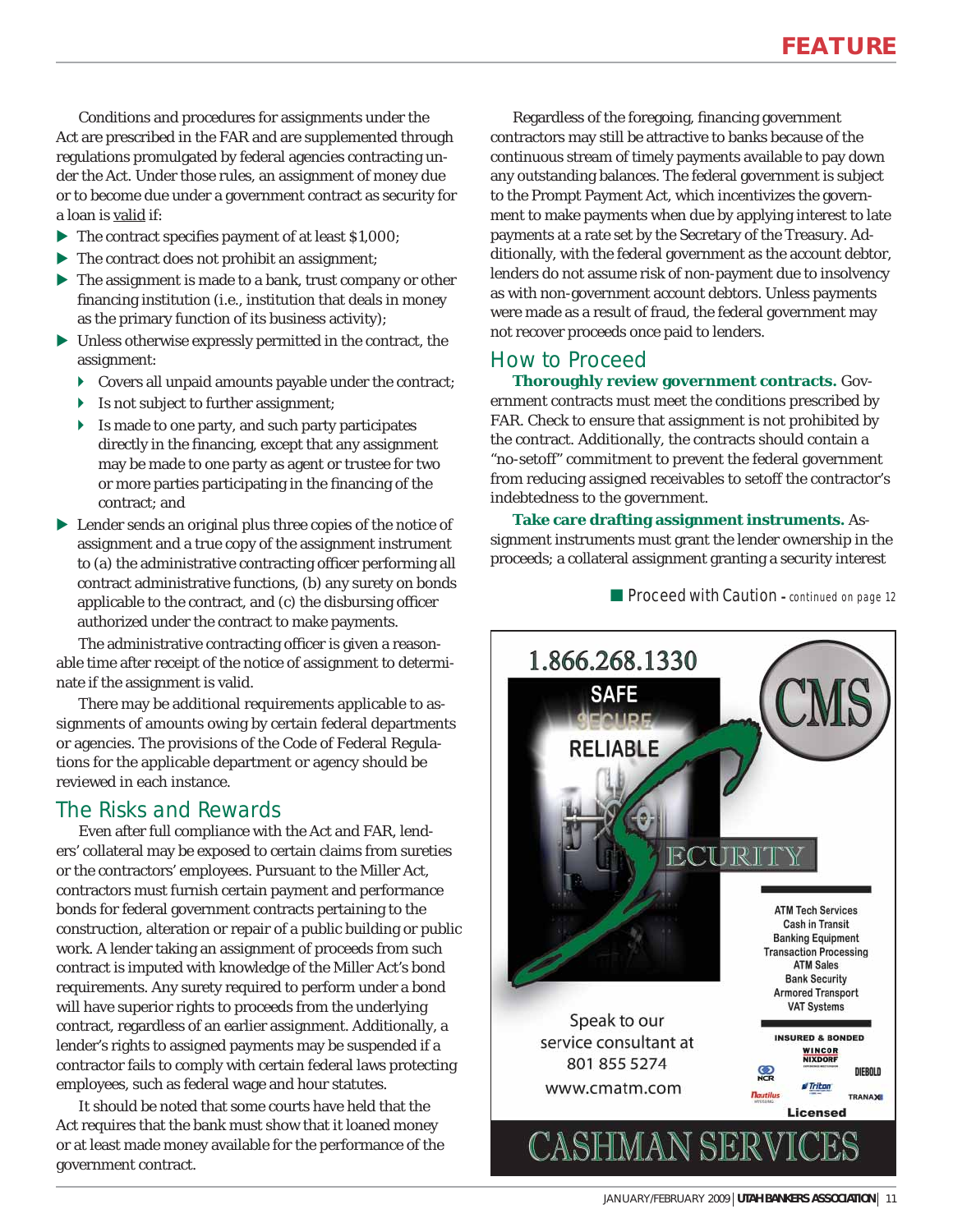Conditions and procedures for assignments under the Act are prescribed in the FAR and are supplemented through regulations promulgated by federal agencies contracting under the Act. Under those rules, an assignment of money due or to become due under a government contract as security for a loan is valid if:

- $\blacktriangleright$  The contract specifies payment of at least \$1,000;
- $\blacktriangleright$  The contract does not prohibit an assignment;
- $\blacktriangleright$  The assignment is made to a bank, trust company or other financing institution (i.e., institution that deals in money as the primary function of its business activity);
- $\blacktriangleright$  Unless otherwise expressly permitted in the contract, the assignment:
	- $\triangleright$  Covers all unpaid amounts payable under the contract;
	- $\blacktriangleright$  Is not subject to further assignment;
	- $\blacktriangleright$  Is made to one party, and such party participates directly in the financing, except that any assignment may be made to one party as agent or trustee for two or more parties participating in the financing of the contract; and
- $\blacktriangleright$  Lender sends an original plus three copies of the notice of assignment and a true copy of the assignment instrument to (a) the administrative contracting officer performing all contract administrative functions, (b) any surety on bonds applicable to the contract, and (c) the disbursing officer authorized under the contract to make payments.

The administrative contracting officer is given a reasonable time after receipt of the notice of assignment to determinate if the assignment is valid.

There may be additional requirements applicable to assignments of amounts owing by certain federal departments or agencies. The provisions of the Code of Federal Regulations for the applicable department or agency should be reviewed in each instance.

## The Risks and Rewards

Even after full compliance with the Act and FAR, lenders' collateral may be exposed to certain claims from sureties or the contractors' employees. Pursuant to the Miller Act, contractors must furnish certain payment and performance bonds for federal government contracts pertaining to the construction, alteration or repair of a public building or public work. A lender taking an assignment of proceeds from such contract is imputed with knowledge of the Miller Act's bond requirements. Any surety required to perform under a bond will have superior rights to proceeds from the underlying contract, regardless of an earlier assignment. Additionally, a lender's rights to assigned payments may be suspended if a contractor fails to comply with certain federal laws protecting employees, such as federal wage and hour statutes.

It should be noted that some courts have held that the Act requires that the bank must show that it loaned money or at least made money available for the performance of the government contract.

Regardless of the foregoing, financing government contractors may still be attractive to banks because of the continuous stream of timely payments available to pay down any outstanding balances. The federal government is subject to the Prompt Payment Act, which incentivizes the government to make payments when due by applying interest to late payments at a rate set by the Secretary of the Treasury. Additionally, with the federal government as the account debtor, lenders do not assume risk of non-payment due to insolvency as with non-government account debtors. Unless payments were made as a result of fraud, the federal government may not recover proceeds once paid to lenders.

### How to Proceed

**Thoroughly review government contracts.** Government contracts must meet the conditions prescribed by FAR. Check to ensure that assignment is not prohibited by the contract. Additionally, the contracts should contain a "no-setoff" commitment to prevent the federal government from reducing assigned receivables to setoff the contractor's indebtedness to the government.

**Take care drafting assignment instruments.** Assignment instruments must grant the lender ownership in the proceeds; a collateral assignment granting a security interest

■ Proceed with Caution - continued on page 12